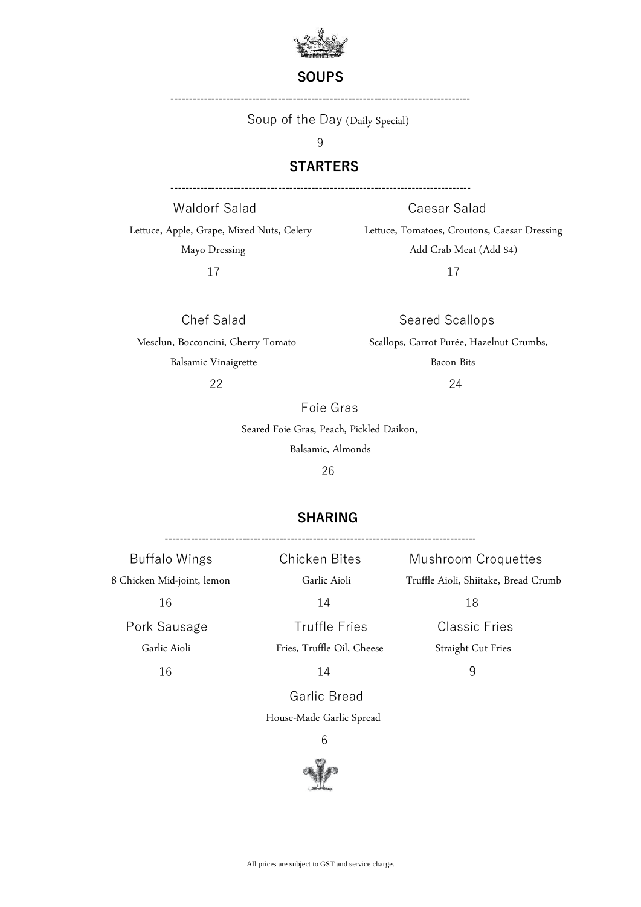

### **SOUPS**

**---------------------------------------------------------------------------------**

Soup of the Day (Daily Special)

9

## **STARTERS**

**---------------------------------------------------------------------------------**

Waldorf Salad Caesar Salad 17 17

Lettuce, Apple, Grape, Mixed Nuts, Celery Lettuce, Tomatoes, Croutons, Caesar Dressing Mayo Dressing Add Crab Meat (Add \$4)

Chef Salad Seared Scallops Mesclun, Bocconcini, Cherry Tomato Scallops, Carrot Purée, Hazelnut Crumbs, Balsamic Vinaigrette Bacon Bits

22 24

Foie Gras

Seared Foie Gras, Peach, Pickled Daikon,

Balsamic, Almonds

26

## **SHARING**

**------------------------------------------------------------------------------------** Buffalo Wings Chicken Bites Mushroom Croquettes 8 Chicken Mid-joint, lemon Garlic Aioli Truffle Aioli, Shiitake, Bread Crumb 16 14 18 Pork Sausage Truffle Fries Classic Fries Garlic Aioli Fries, Truffle Oil, Cheese Straight Cut Fries 16 14 9

Garlic Bread

House-Made Garlic Spread

6

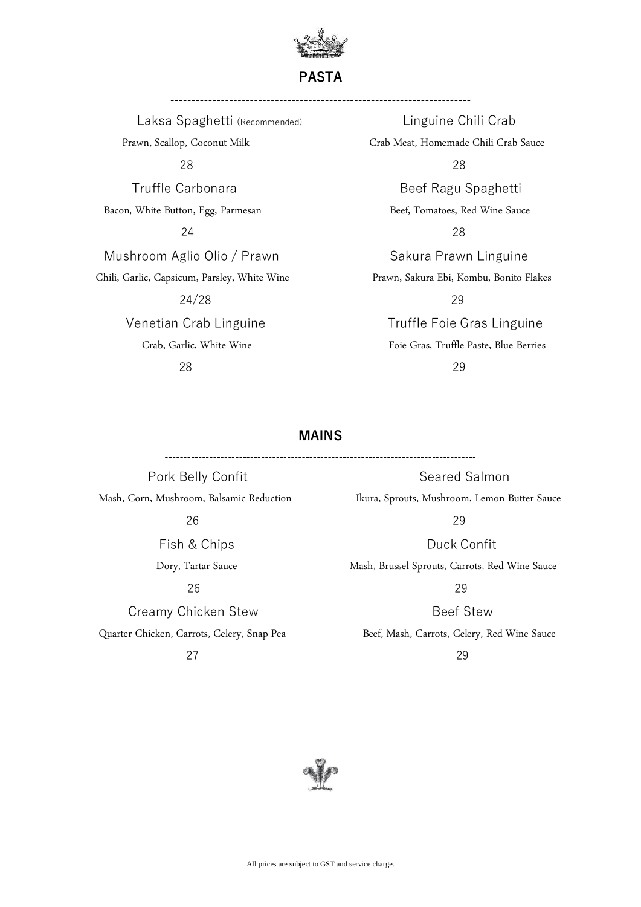

**PASTA**

**------------------------------------------------------------------------**

Laksa Spaghetti (Recommended) Linguine Chili Crab Prawn, Scallop, Coconut Milk Crab Crab Meat, Homemade Chili Crab Sauce 28 28 Truffle CarbonaraBeef Ragu Spaghetti Bacon, White Button, Egg, Parmesan Beef, Tomatoes, Red Wine Sauce 24 28 Mushroom Aglio Olio / Prawn Sakura Prawn Linguine Chili, Garlic, Capsicum, Parsley, White Wine Prawn, Sakura Ebi, Kombu, Bonito Flakes 24/28 29 Venetian Crab Linguine **Truffle Foie Gras Linguine** 

Crab, Garlic, White Wine Foie Gras, Truffle Paste, Blue Berries 28 29

## **MAINS**

**------------------------------------------------------------------------------------**

 $26$  29

**Creamy Chicken Stew Beef Stew Beef Stew** 27 29

Pork Belly Confit No. 2016 1997 Seared Salmon Mash, Corn, Mushroom, Balsamic Reduction Ikura, Sprouts, Mushroom, Lemon Butter Sauce

 $26$  29

Fish & Chips **Duck Confit** 

Dory, Tartar Sauce Mash, Brussel Sprouts, Carrots, Red Wine Sauce

Quarter Chicken, Carrots, Celery, Snap Pea Beef, Mash, Carrots, Celery, Red Wine Sauce

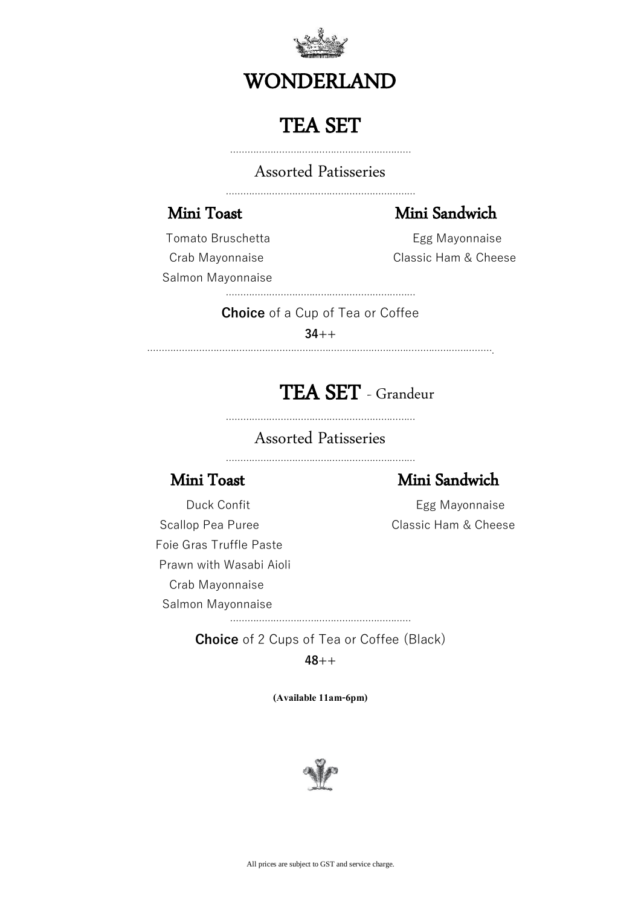

# WONDERLAND

# TEA SET

………………………………………………………

Assorted Patisseries

…………………………………………………………

## Mini Toast Mini Sandwich

Tomato Bruschetta **Egg Mayonnaise** Salmon Mayonnaise

Crab Mayonnaise **Classic Ham & Cheese** 

…………………………………………………………

**Choice** of a Cup of Tea or Coffee

**34++**

………………………………………………………………………………………………………….

# TEA SET - Grandeur

…………………………………………………………

## Assorted Patisseries

…………………………………………………………

## Mini Toast Mini Sandwich

Duck Confit **Egg Mayonnaise** 

Scallop Pea Puree Classic Ham & Cheese Foie Gras Truffle Paste Prawn with Wasabi Aioli Crab Mayonnaise Salmon Mayonnaise

……………………………………………………… **Choice** of 2 Cups of Tea or Coffee (Black)

**48++**

**(Available 11am-6pm)**

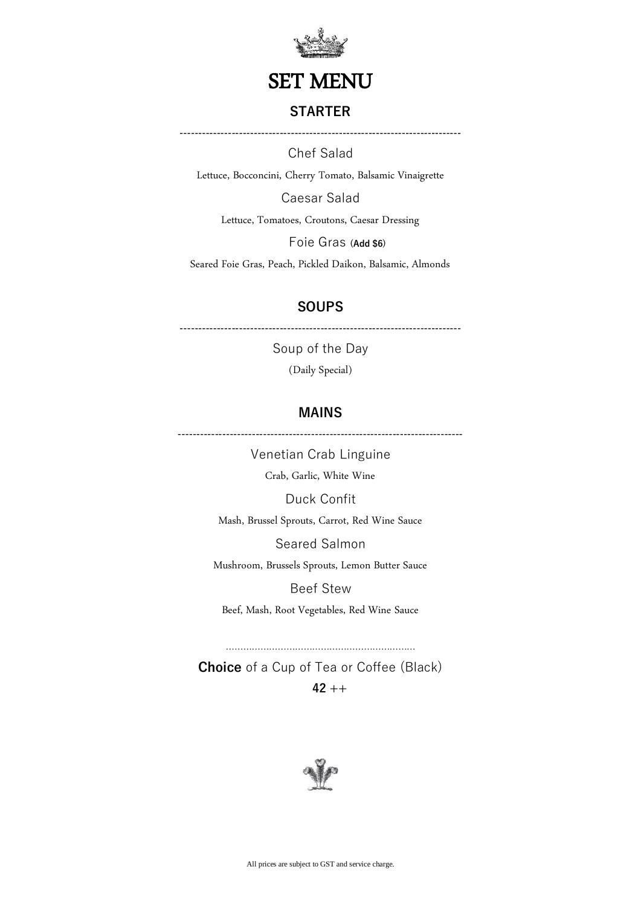

## SET MENU

## **STARTER**

**----------------------------------------------------------------------------**

Chef Salad

Lettuce, Bocconcini, Cherry Tomato, Balsamic Vinaigrette

Caesar Salad

Lettuce, Tomatoes, Croutons, Caesar Dressing

Foie Gras **(Add \$6)**

Seared Foie Gras, Peach, Pickled Daikon, Balsamic, Almonds

## **SOUPS**

**----------------------------------------------------------------------------**

Soup of the Day (Daily Special)

## **MAINS**

**-----------------------------------------------------------------------------**

Venetian Crab Linguine

Crab, Garlic, White Wine

Duck Confit

Mash, Brussel Sprouts, Carrot, Red Wine Sauce

Seared Salmon

Mushroom, Brussels Sprouts, Lemon Butter Sauce

Beef Stew

Beef, Mash, Root Vegetables, Red Wine Sauce

**Choice** of a Cup of Tea or Coffee (Black) **42 ++**

…………………………………………………………